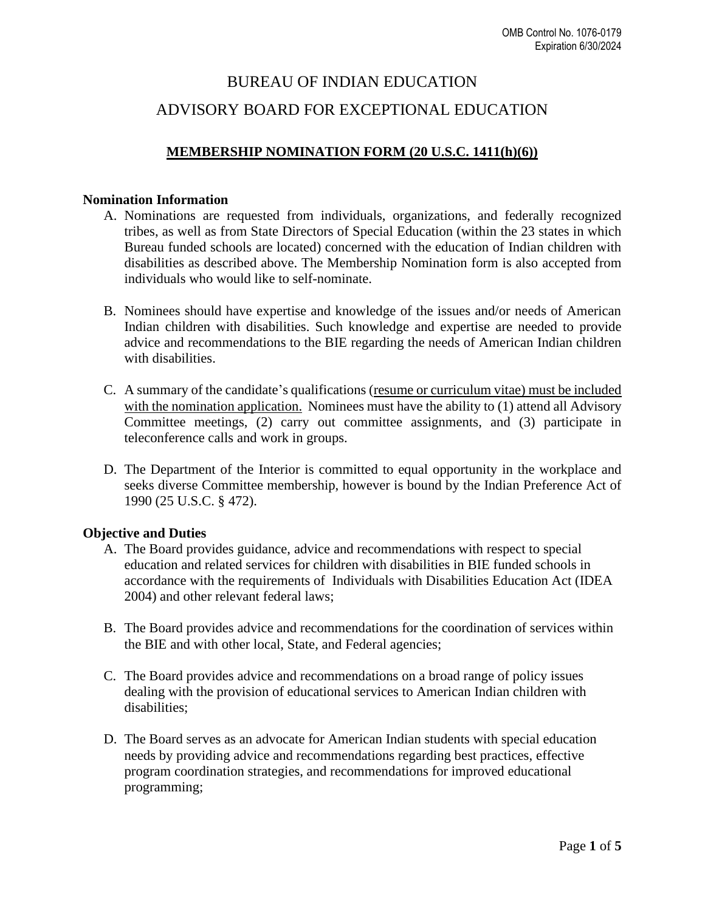# BUREAU OF INDIAN EDUCATION ADVISORY BOARD FOR EXCEPTIONAL EDUCATION

## **MEMBERSHIP NOMINATION FORM (20 U.S.C. 1411(h)(6))**

#### **Nomination Information**

- A. Nominations are requested from individuals, organizations, and federally recognized tribes, as well as from State Directors of Special Education (within the 23 states in which Bureau funded schools are located) concerned with the education of Indian children with disabilities as described above. The Membership Nomination form is also accepted from individuals who would like to self-nominate.
- B. Nominees should have expertise and knowledge of the issues and/or needs of American Indian children with disabilities. Such knowledge and expertise are needed to provide advice and recommendations to the BIE regarding the needs of American Indian children with disabilities.
- C. A summary of the candidate's qualifications (resume or curriculum vitae) must be included with the nomination application. Nominees must have the ability to (1) attend all Advisory Committee meetings, (2) carry out committee assignments, and (3) participate in teleconference calls and work in groups.
- D. The Department of the Interior is committed to equal opportunity in the workplace and seeks diverse Committee membership, however is bound by the Indian Preference Act of 1990 (25 U.S.C. § 472).

#### **Objective and Duties**

- A. The Board provides guidance, advice and recommendations with respect to special education and related services for children with disabilities in BIE funded schools in accordance with the requirements of Individuals with Disabilities Education Act (IDEA 2004) and other relevant federal laws;
- B. The Board provides advice and recommendations for the coordination of services within the BIE and with other local, State, and Federal agencies;
- C. The Board provides advice and recommendations on a broad range of policy issues dealing with the provision of educational services to American Indian children with disabilities;
- D. The Board serves as an advocate for American Indian students with special education needs by providing advice and recommendations regarding best practices, effective program coordination strategies, and recommendations for improved educational programming;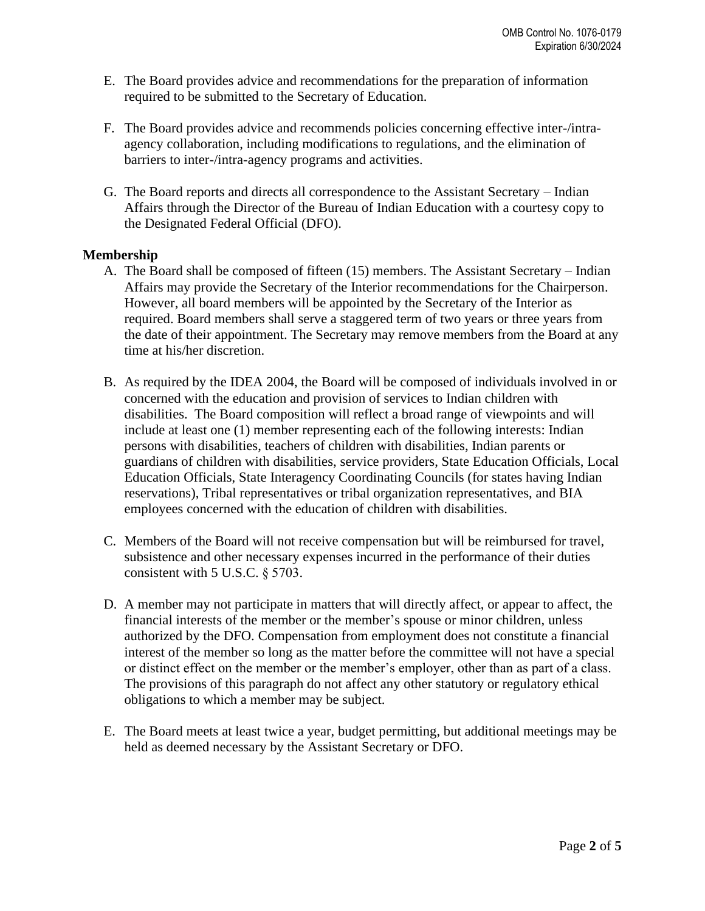- E. The Board provides advice and recommendations for the preparation of information required to be submitted to the Secretary of Education.
- F. The Board provides advice and recommends policies concerning effective inter-/intraagency collaboration, including modifications to regulations, and the elimination of barriers to inter-/intra-agency programs and activities.
- G. The Board reports and directs all correspondence to the Assistant Secretary Indian Affairs through the Director of the Bureau of Indian Education with a courtesy copy to the Designated Federal Official (DFO).

#### **Membership**

- A. The Board shall be composed of fifteen (15) members. The Assistant Secretary Indian Affairs may provide the Secretary of the Interior recommendations for the Chairperson. However, all board members will be appointed by the Secretary of the Interior as required. Board members shall serve a staggered term of two years or three years from the date of their appointment. The Secretary may remove members from the Board at any time at his/her discretion.
- B. As required by the IDEA 2004, the Board will be composed of individuals involved in or concerned with the education and provision of services to Indian children with disabilities. The Board composition will reflect a broad range of viewpoints and will include at least one (1) member representing each of the following interests: Indian persons with disabilities, teachers of children with disabilities, Indian parents or guardians of children with disabilities, service providers, State Education Officials, Local Education Officials, State Interagency Coordinating Councils (for states having Indian reservations), Tribal representatives or tribal organization representatives, and BIA employees concerned with the education of children with disabilities.
- C. Members of the Board will not receive compensation but will be reimbursed for travel, subsistence and other necessary expenses incurred in the performance of their duties consistent with 5 U.S.C. § 5703.
- D. A member may not participate in matters that will directly affect, or appear to affect, the financial interests of the member or the member's spouse or minor children, unless authorized by the DFO. Compensation from employment does not constitute a financial interest of the member so long as the matter before the committee will not have a special or distinct effect on the member or the member's employer, other than as part of a class. The provisions of this paragraph do not affect any other statutory or regulatory ethical obligations to which a member may be subject.
- E. The Board meets at least twice a year, budget permitting, but additional meetings may be held as deemed necessary by the Assistant Secretary or DFO.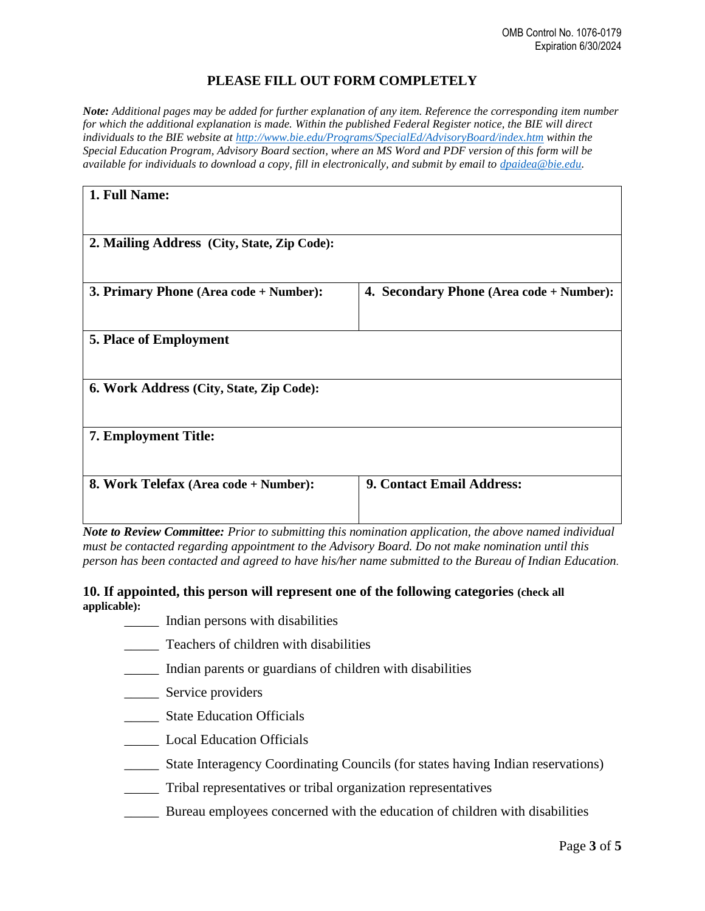## **PLEASE FILL OUT FORM COMPLETELY**

*Note: Additional pages may be added for further explanation of any item. Reference the corresponding item number for which the additional explanation is made. Within the published Federal Register notice, the BIE will direct individuals to the BIE website at<http://www.bie.edu/Programs/SpecialEd/AdvisoryBoard/index.htm> within the Special Education Program, Advisory Board section, where an MS Word and PDF version of this form will be available for individuals to download a copy, fill in electronically, and submit by email to [dpaidea@bie.edu.](mailto:dpaidea@bie.edu)*

| 1. Full Name:                               |                                          |
|---------------------------------------------|------------------------------------------|
| 2. Mailing Address (City, State, Zip Code): |                                          |
| 3. Primary Phone (Area code + Number):      | 4. Secondary Phone (Area code + Number): |
| <b>5. Place of Employment</b>               |                                          |
| 6. Work Address (City, State, Zip Code):    |                                          |
| <b>7. Employment Title:</b>                 |                                          |
| 8. Work Telefax (Area code + Number):       | 9. Contact Email Address:                |

*Note to Review Committee: Prior to submitting this nomination application, the above named individual must be contacted regarding appointment to the Advisory Board. Do not make nomination until this person has been contacted and agreed to have his/her name submitted to the Bureau of Indian Education.* 

#### **10. If appointed, this person will represent one of the following categories (check all applicable):**

- \_\_\_\_\_ Indian persons with disabilities
- \_\_\_\_\_ Teachers of children with disabilities
- \_\_\_\_\_ Indian parents or guardians of children with disabilities
- **Example 3** Service providers
- \_\_\_\_\_ State Education Officials
- \_\_\_\_\_ Local Education Officials
- \_\_\_\_\_ State Interagency Coordinating Councils (for states having Indian reservations)
- \_\_\_\_\_ Tribal representatives or tribal organization representatives
- \_\_\_\_\_ Bureau employees concerned with the education of children with disabilities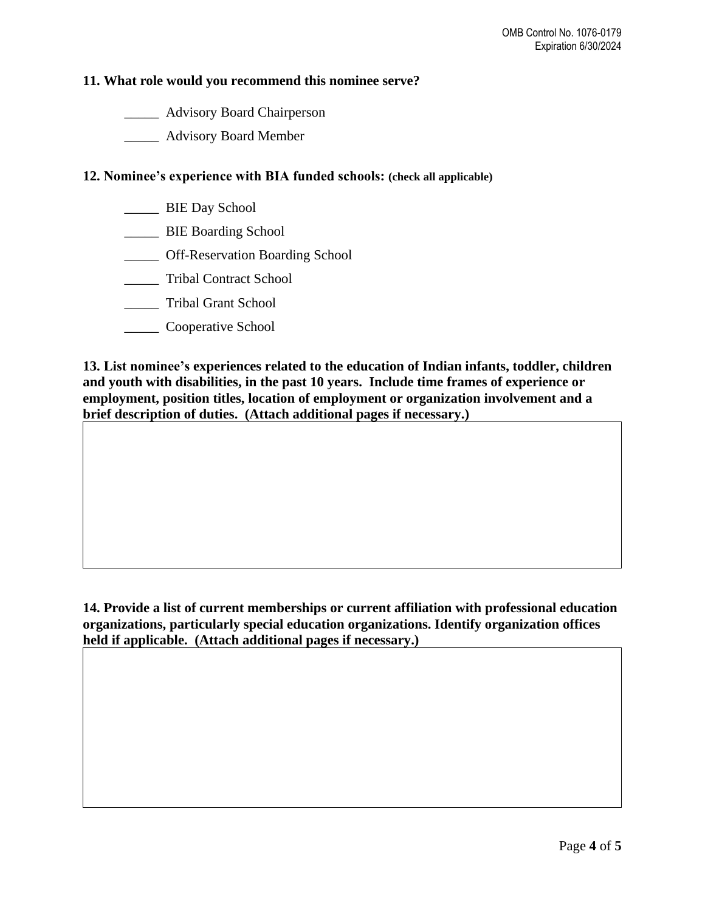#### **11. What role would you recommend this nominee serve?**

\_\_\_\_\_ Advisory Board Chairperson

\_\_\_\_\_ Advisory Board Member

### **12. Nominee's experience with BIA funded schools: (check all applicable)**

- \_\_\_\_\_ BIE Day School
- \_\_\_\_\_ BIE Boarding School
- \_\_\_\_\_ Off-Reservation Boarding School
- \_\_\_\_\_ Tribal Contract School
- \_\_\_\_\_ Tribal Grant School
- \_\_\_\_\_ Cooperative School

**13. List nominee's experiences related to the education of Indian infants, toddler, children and youth with disabilities, in the past 10 years. Include time frames of experience or employment, position titles, location of employment or organization involvement and a brief description of duties. (Attach additional pages if necessary.)**

**14. Provide a list of current memberships or current affiliation with professional education organizations, particularly special education organizations. Identify organization offices held if applicable. (Attach additional pages if necessary.)**